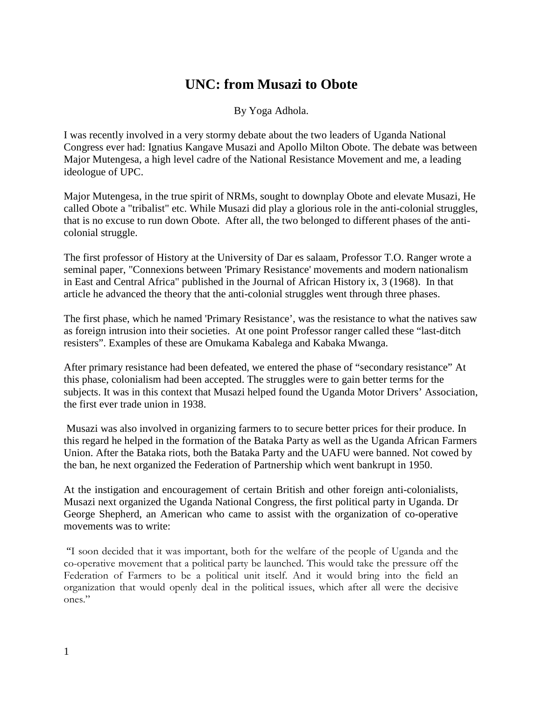## **UNC: from Musazi to Obote**

By Yoga Adhola.

I was recently involved in a very stormy debate about the two leaders of Uganda National Congress ever had: Ignatius Kangave Musazi and Apollo Milton Obote. The debate was between Major Mutengesa, a high level cadre of the National Resistance Movement and me, a leading ideologue of UPC.

Major Mutengesa, in the true spirit of NRMs, sought to downplay Obote and elevate Musazi, He called Obote a "tribalist" etc. While Musazi did play a glorious role in the anti-colonial struggles, that is no excuse to run down Obote. After all, the two belonged to different phases of the anticolonial struggle.

The first professor of History at the University of Dar es salaam, Professor T.O. Ranger wrote a seminal paper, "Connexions between 'Primary Resistance' movements and modern nationalism in East and Central Africa" published in the Journal of African History ix, 3 (1968). In that article he advanced the theory that the anti-colonial struggles went through three phases.

The first phase, which he named 'Primary Resistance', was the resistance to what the natives saw as foreign intrusion into their societies. At one point Professor ranger called these "last-ditch resisters". Examples of these are Omukama Kabalega and Kabaka Mwanga.

After primary resistance had been defeated, we entered the phase of "secondary resistance" At this phase, colonialism had been accepted. The struggles were to gain better terms for the subjects. It was in this context that Musazi helped found the Uganda Motor Drivers' Association, the first ever trade union in 1938.

 Musazi was also involved in organizing farmers to to secure better prices for their produce. In this regard he helped in the formation of the Bataka Party as well as the Uganda African Farmers Union. After the Bataka riots, both the Bataka Party and the UAFU were banned. Not cowed by the ban, he next organized the Federation of Partnership which went bankrupt in 1950.

At the instigation and encouragement of certain British and other foreign anti-colonialists, Musazi next organized the Uganda National Congress, the first political party in Uganda. Dr George Shepherd, an American who came to assist with the organization of co-operative movements was to write:

 "I soon decided that it was important, both for the welfare of the people of Uganda and the co-operative movement that a political party be launched. This would take the pressure off the Federation of Farmers to be a political unit itself. And it would bring into the field an organization that would openly deal in the political issues, which after all were the decisive ones."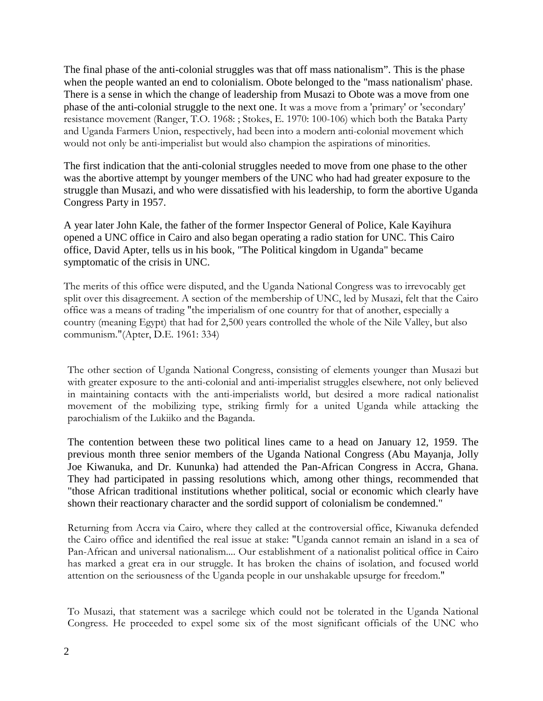The final phase of the anti-colonial struggles was that off mass nationalism". This is the phase when the people wanted an end to colonialism. Obote belonged to the "mass nationalism' phase. There is a sense in which the change of leadership from Musazi to Obote was a move from one phase of the anti-colonial struggle to the next one. It was a move from a 'primary' or 'secondary' resistance movement (Ranger, T.O. 1968: ; Stokes, E. 1970: 100-106) which both the Bataka Party and Uganda Farmers Union, respectively, had been into a modern anti-colonial movement which would not only be anti-imperialist but would also champion the aspirations of minorities.

The first indication that the anti-colonial struggles needed to move from one phase to the other was the abortive attempt by younger members of the UNC who had had greater exposure to the struggle than Musazi, and who were dissatisfied with his leadership, to form the abortive Uganda Congress Party in 1957.

A year later John Kale, the father of the former Inspector General of Police, Kale Kayihura opened a UNC office in Cairo and also began operating a radio station for UNC. This Cairo office, David Apter, tells us in his book, "The Political kingdom in Uganda" became symptomatic of the crisis in UNC.

The merits of this office were disputed, and the Uganda National Congress was to irrevocably get split over this disagreement. A section of the membership of UNC, led by Musazi, felt that the Cairo office was a means of trading "the imperialism of one country for that of another, especially a country (meaning Egypt) that had for 2,500 years controlled the whole of the Nile Valley, but also communism."(Apter, D.E. 1961: 334)

The other section of Uganda National Congress, consisting of elements younger than Musazi but with greater exposure to the anti-colonial and anti-imperialist struggles elsewhere, not only believed in maintaining contacts with the anti-imperialists world, but desired a more radical nationalist movement of the mobilizing type, striking firmly for a united Uganda while attacking the parochialism of the Lukiiko and the Baganda.

The contention between these two political lines came to a head on January 12, 1959. The previous month three senior members of the Uganda National Congress (Abu Mayanja, Jolly Joe Kiwanuka, and Dr. Kununka) had attended the Pan-African Congress in Accra, Ghana. They had participated in passing resolutions which, among other things, recommended that "those African traditional institutions whether political, social or economic which clearly have shown their reactionary character and the sordid support of colonialism be condemned."

Returning from Accra via Cairo, where they called at the controversial office, Kiwanuka defended the Cairo office and identified the real issue at stake: "Uganda cannot remain an island in a sea of Pan-African and universal nationalism.... Our establishment of a nationalist political office in Cairo has marked a great era in our struggle. It has broken the chains of isolation, and focused world attention on the seriousness of the Uganda people in our unshakable upsurge for freedom."

To Musazi, that statement was a sacrilege which could not be tolerated in the Uganda National Congress. He proceeded to expel some six of the most significant officials of the UNC who